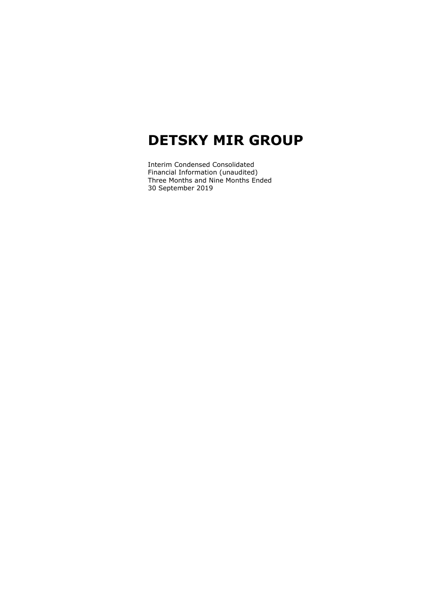Interim Condensed Consolidated Financial Information (unaudited) Three Months and Nine Months Ended 30 September 2019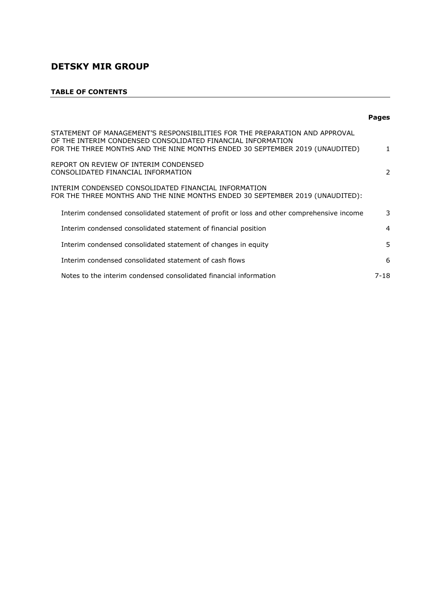# **TABLE OF CONTENTS**

|                                                                                                                                                                                                                            | <b>Pages</b>   |
|----------------------------------------------------------------------------------------------------------------------------------------------------------------------------------------------------------------------------|----------------|
| STATEMENT OF MANAGEMENT'S RESPONSIBILITIES FOR THE PREPARATION AND APPROVAL<br>OF THE INTERIM CONDENSED CONSOLIDATED FINANCIAL INFORMATION<br>FOR THE THREE MONTHS AND THE NINE MONTHS ENDED 30 SEPTEMBER 2019 (UNAUDITED) | 1              |
| REPORT ON REVIEW OF INTERIM CONDENSED<br>CONSOLIDATED FINANCIAL INFORMATION                                                                                                                                                | 2              |
| INTERIM CONDENSED CONSOLIDATED FINANCIAL INFORMATION<br>FOR THE THREE MONTHS AND THE NINE MONTHS ENDED 30 SEPTEMBER 2019 (UNAUDITED):                                                                                      |                |
| Interim condensed consolidated statement of profit or loss and other comprehensive income                                                                                                                                  | 3              |
| Interim condensed consolidated statement of financial position                                                                                                                                                             | $\overline{4}$ |
| Interim condensed consolidated statement of changes in equity                                                                                                                                                              | 5              |
| Interim condensed consolidated statement of cash flows                                                                                                                                                                     | 6              |
| Notes to the interim condensed consolidated financial information                                                                                                                                                          | 7-18           |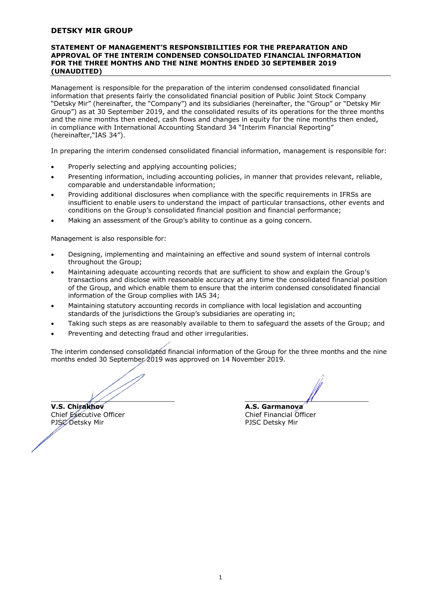#### **STATEMENT OF MANAGEMENT'S RESPONSIBILITIES FOR THE PREPARATION AND APPROVAL OF THE INTERIM CONDENSED CONSOLIDATED FINANCIAL INFORMATION FOR THE THREE MONTHS AND THE NINE MONTHS ENDED 30 SEPTEMBER 2019 (UNAUDITED)**

Management is responsible for the preparation of the interim condensed consolidated financial information that presents fairly the consolidated financial position of Public Joint Stock Company "Detsky Mir" (hereinafter, the "Company") and its subsidiaries (hereinafter, the "Group" or "Detsky Mir Group") as at 30 September 2019, and the consolidated results of its operations for the three months and the nine months then ended, cash flows and changes in equity for the nine months then ended, in compliance with International Accounting Standard 34 "Interim Financial Reporting" (hereinafter,"IAS 34").

In preparing the interim condensed consolidated financial information, management is responsible for:

- Properly selecting and applying accounting policies;
- Presenting information, including accounting policies, in manner that provides relevant, reliable, comparable and understandable information;
- Providing additional disclosures when compliance with the specific requirements in IFRSs are insufficient to enable users to understand the impact of particular transactions, other events and conditions on the Group's consolidated financial position and financial performance;
- Making an assessment of the Group's ability to continue as a going concern.

Management is also responsible for:

- Designing, implementing and maintaining an effective and sound system of internal controls throughout the Group;
- Maintaining adequate accounting records that are sufficient to show and explain the Group's transactions and disclose with reasonable accuracy at any time the consolidated financial position of the Group, and which enable them to ensure that the interim condensed consolidated financial information of the Group complies with IAS 34;
- Maintaining statutory accounting records in compliance with local legislation and accounting standards of the jurisdictions the Group's subsidiaries are operating in;
- Taking such steps as are reasonably available to them to safeguard the assets of the Group; and
- Preventing and detecting fraud and other irregularities.

The interim condensed consolidated financial information of the Group for the three months and the nine months ended 30 September 2019 was approved on 14 November 2019.

**V.S. Chirakhov A.S. Garmanova** Chief Executive Officer Chief Financial Officer PJSC Detsky Mir PJSC Detsky Mir

 $\overline{\phantom{a}}$  ,  $\overline{\phantom{a}}$  ,  $\overline{\phantom{a}}$  ,  $\overline{\phantom{a}}$  ,  $\overline{\phantom{a}}$  ,  $\overline{\phantom{a}}$  ,  $\overline{\phantom{a}}$  ,  $\overline{\phantom{a}}$  ,  $\overline{\phantom{a}}$  ,  $\overline{\phantom{a}}$  ,  $\overline{\phantom{a}}$  ,  $\overline{\phantom{a}}$  ,  $\overline{\phantom{a}}$  ,  $\overline{\phantom{a}}$  ,  $\overline{\phantom{a}}$  ,  $\overline{\phantom{a}}$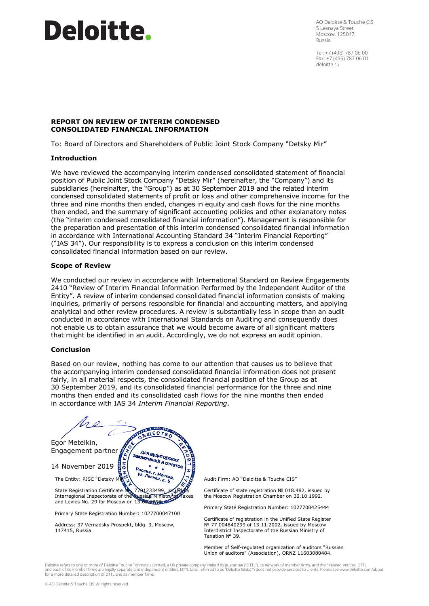# **Deloitte.**

AO Deloitte & Touche CIS 5 Lesnaya Street Moscow, 125047, Russia

Tel: +7 (495) 787 06 00 Fax: +7 (495) 787 06 01 deloitte.ru

## **REPORT ON REVIEW OF INTERIM CONDENSED CONSOLIDATED FINANCIAL INFORMATION**

To: Board of Directors and Shareholders of Public Joint Stock Company "Detsky Mir"

#### **Introduction**

We have reviewed the accompanying interim condensed consolidated statement of financial position of Public Joint Stock Company "Detsky Mir" (hereinafter, the "Company") and its subsidiaries (hereinafter, the "Group") as at 30 September 2019 and the related interim condensed consolidated statements of profit or loss and other comprehensive income for the three and nine months then ended, changes in equity and cash flows for the nine months then ended, and the summary of significant accounting policies and other explanatory notes (the "interim condensed consolidated financial information"). Management is responsible for the preparation and presentation of this interim condensed consolidated financial information in accordance with International Accounting Standard 34 "Interim Financial Reporting" ("IAS 34"). Our responsibility is to express a conclusion on this interim condensed consolidated financial information based on our review.

#### **Scope of Review**

We conducted our review in accordance with International Standard on Review Engagements 2410 "Review of Interim Financial Information Performed by the Independent Auditor of the Entity". A review of interim condensed consolidated financial information consists of making inquiries, primarily of persons responsible for financial and accounting matters, and applying analytical and other review procedures. A review is substantially less in scope than an audit conducted in accordance with International Standards on Auditing and consequently does not enable us to obtain assurance that we would become aware of all significant matters that might be identified in an audit. Accordingly, we do not express an audit opinion.

#### **Conclusion**

Based on our review, nothing has come to our attention that causes us to believe that the accompanying interim condensed consolidated financial information does not present fairly, in all material respects, the consolidated financial position of the Group as at 30 September 2019, and its consolidated financial performance for the three and nine months then ended and its consolidated cash flows for the nine months then ended in accordance with IAS 34 *Interim Financial Reporting*.



Audit Firm: AO "Deloitte & Touche CIS"

Certificate of state registration № 018.482, issued by the Moscow Registration Chamber on 30.10.1992.

Primary State Registration Number: 1027700425444

Certificate of registration in the Unified State Register № 77 004840299 of 13.11.2002, issued by Moscow Interdistrict Inspectorate of the Russian Ministry of Taxation № 39.

Member of Self-regulated organization of auditors "Russian Union of auditors" (Association), ORNZ 11603080484.

Deloitte refers to one or more of Deloitte Touche Tohmatsu Limited, a UK private company limited by guarantee ("DTTL"), its network of member firms, and their related entities. DTTL<br>and each of its member firms are legally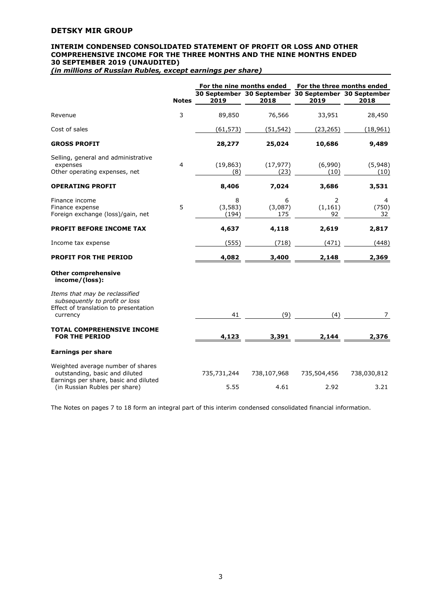#### **INTERIM CONDENSED CONSOLIDATED STATEMENT OF PROFIT OR LOSS AND OTHER COMPREHENSIVE INCOME FOR THE THREE MONTHS AND THE NINE MONTHS ENDED 30 SEPTEMBER 2019 (UNAUDITED)**

*(in millions of Russian Rubles, except earnings per share)*

|                                                                                                                       |              |                        | For the nine months ended                                   |                     | For the three months ended    |
|-----------------------------------------------------------------------------------------------------------------------|--------------|------------------------|-------------------------------------------------------------|---------------------|-------------------------------|
|                                                                                                                       | <b>Notes</b> | 2019                   | 30 September 30 September 30 September 30 September<br>2018 | 2019                | 2018                          |
| Revenue                                                                                                               | 3            | 89,850                 | 76,566                                                      | 33,951              | 28,450                        |
| Cost of sales                                                                                                         |              | (61, 573)              | (51, 542)                                                   | (23, 265)           | (18, 961)                     |
| <b>GROSS PROFIT</b>                                                                                                   |              | 28,277                 | 25,024                                                      | 10,686              | 9,489                         |
| Selling, general and administrative<br>expenses<br>Other operating expenses, net                                      | 4            | (19, 863)<br>(8)       | (17, 977)<br>(23)                                           | (6,990)<br>(10)     | (5,948)<br>(10)               |
| <b>OPERATING PROFIT</b>                                                                                               |              | 8,406                  | 7,024                                                       | 3,686               | 3,531                         |
| Finance income<br>Finance expense<br>Foreign exchange (loss)/gain, net                                                | 5            | 8<br>(3, 583)<br>(194) | 6<br>(3,087)<br>175                                         | 2<br>(1, 161)<br>92 | $\overline{4}$<br>(750)<br>32 |
| <b>PROFIT BEFORE INCOME TAX</b>                                                                                       |              | 4,637                  | 4,118                                                       | 2,619               | 2,817                         |
| Income tax expense                                                                                                    |              | (555)                  | (718)                                                       | (471)               | (448)                         |
| <b>PROFIT FOR THE PERIOD</b>                                                                                          |              | 4,082                  | 3,400                                                       | 2,148               | 2,369                         |
| <b>Other comprehensive</b><br>income/(loss):                                                                          |              |                        |                                                             |                     |                               |
| Items that may be reclassified<br>subsequently to profit or loss<br>Effect of translation to presentation<br>currency |              | 41                     | (9)                                                         | (4)                 | 7                             |
| <b>TOTAL COMPREHENSIVE INCOME</b><br><b>FOR THE PERIOD</b>                                                            |              | 4,123                  | 3,391                                                       | 2,144               | 2,376                         |
| <b>Earnings per share</b>                                                                                             |              |                        |                                                             |                     |                               |
| Weighted average number of shares<br>outstanding, basic and diluted                                                   |              | 735,731,244            | 738,107,968                                                 | 735,504,456         | 738,030,812                   |
| Earnings per share, basic and diluted<br>(in Russian Rubles per share)                                                |              | 5.55                   | 4.61                                                        | 2.92                | 3.21                          |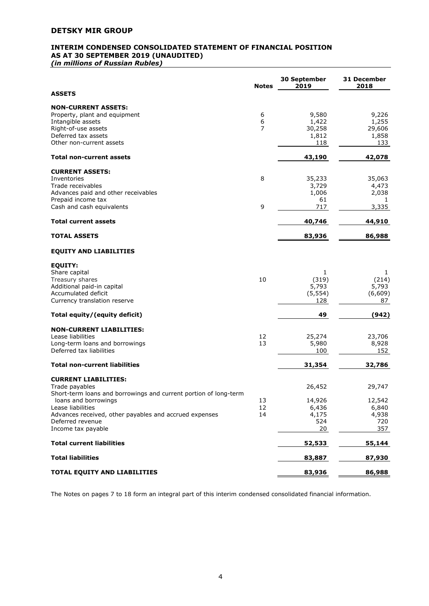# **INTERIM CONDENSED CONSOLIDATED STATEMENT OF FINANCIAL POSITION AS AT 30 SEPTEMBER 2019 (UNAUDITED)**

*(in millions of Russian Rubles)*

|                                                                  | <b>Notes</b>     | 30 September<br>2019 | 31 December<br>2018 |
|------------------------------------------------------------------|------------------|----------------------|---------------------|
| <b>ASSETS</b>                                                    |                  |                      |                     |
| <b>NON-CURRENT ASSETS:</b>                                       |                  |                      |                     |
| Property, plant and equipment                                    | 6                | 9,580                | 9,226               |
| Intangible assets                                                | $\boldsymbol{6}$ | 1,422                | 1,255               |
| Right-of-use assets                                              | 7                | 30,258               | 29,606              |
| Deferred tax assets                                              |                  | 1,812                | 1,858               |
| Other non-current assets                                         |                  | 118                  | 133                 |
| <b>Total non-current assets</b>                                  |                  | 43,190               | 42,078              |
| <b>CURRENT ASSETS:</b>                                           |                  |                      |                     |
| Inventories                                                      | 8                | 35,233               | 35,063              |
| Trade receivables                                                |                  | 3,729                | 4,473               |
| Advances paid and other receivables                              |                  | 1,006                | 2,038               |
| Prepaid income tax                                               |                  | 61                   | 1                   |
| Cash and cash equivalents                                        | 9                | 717                  | 3,335               |
| <b>Total current assets</b>                                      |                  | 40,746               | 44,910              |
| <b>TOTAL ASSETS</b>                                              |                  | 83,936               | 86,988              |
|                                                                  |                  |                      |                     |
| <b>EQUITY AND LIABILITIES</b>                                    |                  |                      |                     |
| <b>EQUITY:</b>                                                   |                  |                      |                     |
| Share capital                                                    |                  | 1                    | 1                   |
| Treasury shares                                                  | 10               | (319)                | (214)               |
| Additional paid-in capital                                       |                  | 5,793                | 5,793               |
| Accumulated deficit                                              |                  | (5, 554)             | (6,609)             |
| Currency translation reserve                                     |                  | 128                  | 87                  |
| Total equity/(equity deficit)                                    |                  | 49                   | (942)               |
| <b>NON-CURRENT LIABILITIES:</b>                                  |                  |                      |                     |
| Lease liabilities                                                | 12               | 25,274               | 23,706              |
| Long-term loans and borrowings                                   | 13               | 5,980                | 8,928               |
| Deferred tax liabilities                                         |                  | 100                  | 152                 |
| <b>Total non-current liabilities</b>                             |                  | 31,354               | 32,786              |
| <b>CURRENT LIABILITIES:</b>                                      |                  |                      |                     |
| Trade payables                                                   |                  | 26,452               | 29,747              |
| Short-term loans and borrowings and current portion of long-term |                  |                      |                     |
|                                                                  |                  |                      |                     |
| loans and borrowings<br>Lease liabilities                        | 13<br>12         | 14,926<br>6,436      | 12,542<br>6,840     |
| Advances received, other payables and accrued expenses           | 14               | 4,175                | 4,938               |
| Deferred revenue                                                 |                  | 524                  |                     |
| Income tax payable                                               |                  | 20                   | 720<br>357          |
| <b>Total current liabilities</b>                                 |                  | 52,533               | 55,144              |
| <b>Total liabilities</b>                                         |                  |                      |                     |
|                                                                  |                  | 83,887               | 87,930              |
| TOTAL EQUITY AND LIABILITIES                                     |                  | 83,936               | 86,988              |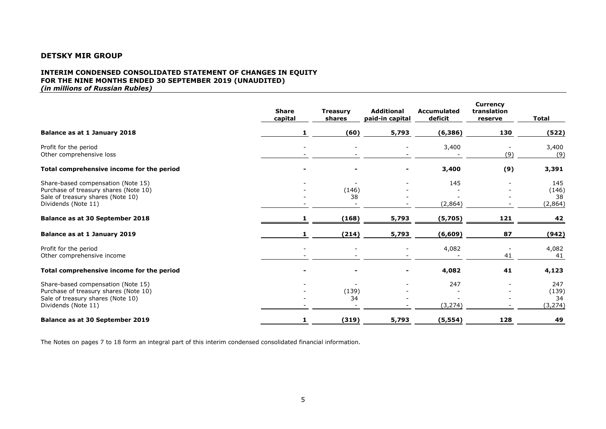#### **INTERIM CONDENSED CONSOLIDATED STATEMENT OF CHANGES IN EQUITY FOR THE NINE MONTHS ENDED 30 SEPTEMBER 2019 (UNAUDITED)** *(in millions of Russian Rubles)*

|                                                                                                                                         | <b>Share</b><br>capital | <b>Treasury</b><br>shares | <b>Additional</b><br>paid-in capital | Accumulated<br>deficit | <b>Currency</b><br>translation<br>reserve | <b>Total</b>                   |
|-----------------------------------------------------------------------------------------------------------------------------------------|-------------------------|---------------------------|--------------------------------------|------------------------|-------------------------------------------|--------------------------------|
| Balance as at 1 January 2018                                                                                                            |                         | (60)                      | 5,793                                | (6, 386)               | 130                                       | (522)                          |
| Profit for the period<br>Other comprehensive loss                                                                                       |                         |                           |                                      | 3,400                  | (9)                                       | 3,400<br>(9)                   |
| Total comprehensive income for the period                                                                                               |                         |                           |                                      | 3,400                  | (9)                                       | 3,391                          |
| Share-based compensation (Note 15)<br>Purchase of treasury shares (Note 10)<br>Sale of treasury shares (Note 10)<br>Dividends (Note 11) |                         | (146)<br>38               |                                      | 145<br>(2,864)         |                                           | 145<br>(146)<br>38<br>(2, 864) |
| Balance as at 30 September 2018                                                                                                         |                         | (168)                     | 5,793                                | (5,705)                | <u>121</u>                                | <u>42</u>                      |
| Balance as at 1 January 2019                                                                                                            |                         | (214)                     | 5,793                                | (6, 609)               | 87                                        | (942)                          |
| Profit for the period<br>Other comprehensive income                                                                                     |                         |                           |                                      | 4,082                  | 41                                        | 4,082<br>41                    |
| Total comprehensive income for the period                                                                                               |                         |                           | $\overline{\phantom{a}}$             | 4,082                  | 41                                        | 4,123                          |
| Share-based compensation (Note 15)<br>Purchase of treasury shares (Note 10)<br>Sale of treasury shares (Note 10)<br>Dividends (Note 11) |                         | (139)<br>34               |                                      | 247<br>(3, 274)        |                                           | 247<br>(139)<br>34<br>(3, 274) |
| <b>Balance as at 30 September 2019</b>                                                                                                  |                         | (319)                     | 5,793                                | (5, 554)               | 128                                       | 49                             |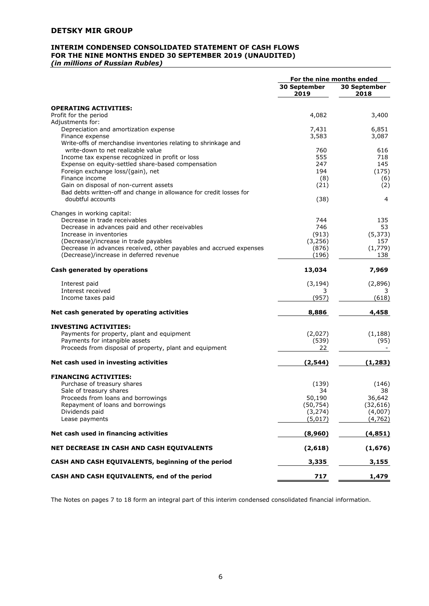#### **INTERIM CONDENSED CONSOLIDATED STATEMENT OF CASH FLOWS FOR THE NINE MONTHS ENDED 30 SEPTEMBER 2019 (UNAUDITED)** *(in millions of Russian Rubles)*

|                                                                                                               | For the nine months ended |                      |
|---------------------------------------------------------------------------------------------------------------|---------------------------|----------------------|
|                                                                                                               | 30 September<br>2019      | 30 September<br>2018 |
| <b>OPERATING ACTIVITIES:</b>                                                                                  |                           |                      |
| Profit for the period                                                                                         | 4,082                     | 3,400                |
| Adjustments for:                                                                                              |                           |                      |
| Depreciation and amortization expense                                                                         | 7,431                     | 6,851                |
| Finance expense                                                                                               | 3,583                     | 3,087                |
| Write-offs of merchandise inventories relating to shrinkage and                                               |                           |                      |
| write-down to net realizable value                                                                            | 760                       | 616                  |
| Income tax expense recognized in profit or loss                                                               | 555                       | 718                  |
| Expense on equity-settled share-based compensation                                                            | 247                       | 145                  |
| Foreign exchange loss/(gain), net                                                                             | 194                       | (175)                |
| Finance income                                                                                                | (8)                       | (6)                  |
| Gain on disposal of non-current assets<br>Bad debts written-off and change in allowance for credit losses for | (21)                      | (2)                  |
| doubtful accounts                                                                                             | (38)                      | 4                    |
| Changes in working capital:                                                                                   |                           |                      |
| Decrease in trade receivables                                                                                 | 744                       | 135                  |
| Decrease in advances paid and other receivables                                                               | 746                       | 53                   |
| Increase in inventories                                                                                       | (913)                     | (5, 373)             |
| (Decrease)/increase in trade payables                                                                         | (3, 256)                  | 157                  |
| Decrease in advances received, other payables and accrued expenses<br>(Decrease)/increase in deferred revenue | (876)<br>(196)            | (1,779)<br>138       |
| Cash generated by operations                                                                                  | 13,034                    | 7,969                |
| Interest paid                                                                                                 | (3, 194)                  | (2,896)              |
| Interest received                                                                                             | 3                         |                      |
| Income taxes paid                                                                                             | (957)                     | (618)                |
| Net cash generated by operating activities                                                                    | 8,886                     | 4,458                |
| <b>INVESTING ACTIVITIES:</b>                                                                                  |                           |                      |
| Payments for property, plant and equipment                                                                    | (2,027)                   | (1, 188)             |
| Payments for intangible assets                                                                                | (539)                     | (95)                 |
| Proceeds from disposal of property, plant and equipment                                                       | 22                        |                      |
| Net cash used in investing activities                                                                         | (2, 544)                  | (1, 283)             |
| <b>FINANCING ACTIVITIES:</b>                                                                                  |                           |                      |
| Purchase of treasury shares                                                                                   | (139)                     | (146)                |
| Sale of treasury shares                                                                                       | 34                        | 38                   |
| Proceeds from loans and borrowings<br>Repayment of loans and borrowings                                       | 50,190<br>(50, 754)       | 36,642<br>(32,616)   |
| Dividends paid                                                                                                | (3, 274)                  | (4,007)              |
| Lease payments                                                                                                | (5,017)                   | (4,762)              |
| Net cash used in financing activities                                                                         | (8,960)                   | (4, 851)             |
| NET DECREASE IN CASH AND CASH EQUIVALENTS                                                                     | (2,618)                   | (1,676)              |
| CASH AND CASH EQUIVALENTS, beginning of the period                                                            | 3,335                     | 3,155                |
| CASH AND CASH EQUIVALENTS, end of the period                                                                  | 717                       | 1,479                |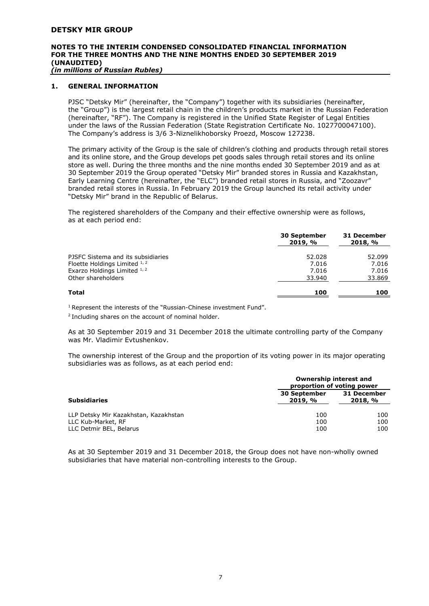# **NOTES TO THE INTERIM CONDENSED CONSOLIDATED FINANCIAL INFORMATION FOR THE THREE MONTHS AND THE NINE MONTHS ENDED 30 SEPTEMBER 2019 (UNAUDITED)**

*(in millions of Russian Rubles)*

#### **1. GENERAL INFORMATION**

PJSC "Detsky Mir" (hereinafter, the "Company") together with its subsidiaries (hereinafter, the "Group") is the largest retail chain in the children's products market in the Russian Federation (hereinafter, "RF"). The Company is registered in the Unified State Register of Legal Entities under the laws of the Russian Federation (State Registration Certificate No. 1027700047100). The Company's address is 3/6 3-Niznelikhoborsky Proezd, Moscow 127238.

The primary activity of the Group is the sale of children's clothing and products through retail stores and its online store, and the Group develops pet goods sales through retail stores and its online store as well. During the three months and the nine months ended 30 September 2019 and as at 30 September 2019 the Group operated "Detsky Mir" branded stores in Russia and Kazakhstan, Early Learning Centre (hereinafter, the "ELC") branded retail stores in Russia, and "Zoozavr" branded retail stores in Russia. In February 2019 the Group launched its retail activity under "Detsky Mir" brand in the Republic of Belarus.

The registered shareholders of the Company and their effective ownership were as follows, as at each period end:

|                                    | <b>30 September</b><br>2019, % | 31 December<br>2018, % |  |
|------------------------------------|--------------------------------|------------------------|--|
| PJSFC Sistema and its subsidiaries | 52.028                         | 52.099                 |  |
| Floette Holdings Limited 1, 2      | 7.016                          | 7.016                  |  |
| Exarzo Holdings Limited 1, 2       | 7.016                          | 7.016                  |  |
| Other shareholders                 | 33.940                         | 33.869                 |  |
| Total                              | 100                            | 100                    |  |
|                                    |                                |                        |  |

<sup>1</sup> Represent the interests of the "Russian-Chinese investment Fund".

<sup>2</sup> Including shares on the account of nominal holder.

As at 30 September 2019 and 31 December 2018 the ultimate controlling party of the Company was Mr. Vladimir Evtushenkov.

The ownership interest of the Group and the proportion of its voting power in its major operating subsidiaries was as follows, as at each period end:

|                                       | Ownership interest and<br>proportion of voting power |                        |  |
|---------------------------------------|------------------------------------------------------|------------------------|--|
| <b>Subsidiaries</b>                   | <b>30 September</b><br>2019, %                       | 31 December<br>2018, % |  |
| LLP Detsky Mir Kazakhstan, Kazakhstan | 100                                                  | 100                    |  |
| LLC Kub-Market, RF                    | 100                                                  | 100                    |  |
| LLC Detmir BEL, Belarus               | 100                                                  | 100                    |  |

As at 30 September 2019 and 31 December 2018, the Group does not have non-wholly owned subsidiaries that have material non-controlling interests to the Group.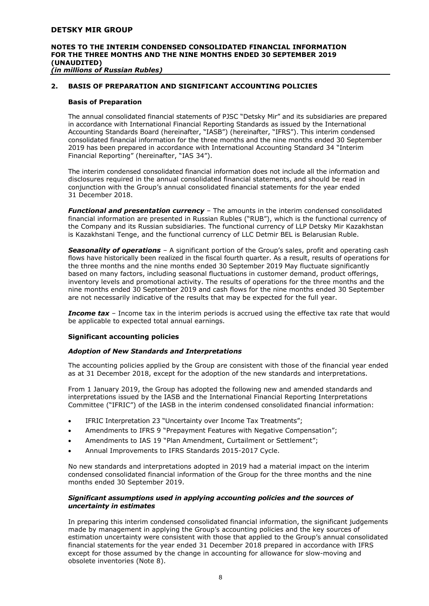#### **NOTES TO THE INTERIM CONDENSED CONSOLIDATED FINANCIAL INFORMATION FOR THE THREE MONTHS AND THE NINE MONTHS ENDED 30 SEPTEMBER 2019 (UNAUDITED)** *(in millions of Russian Rubles)*

# **2. BASIS OF PREPARATION AND SIGNIFICANT ACCOUNTING POLICIES**

#### **Basis of Preparation**

The annual consolidated financial statements of PJSC "Detsky Mir" and its subsidiaries are prepared in accordance with International Financial Reporting Standards as issued by the International Accounting Standards Board (hereinafter, "IASB") (hereinafter, "IFRS"). This interim condensed consolidated financial information for the three months and the nine months ended 30 September 2019 has been prepared in accordance with International Accounting Standard 34 "Interim Financial Reporting" (hereinafter, "IAS 34").

The interim condensed consolidated financial information does not include all the information and disclosures required in the annual consolidated financial statements, and should be read in conjunction with the Group's annual consolidated financial statements for the year ended 31 December 2018.

*Functional and presentation currency* – The amounts in the interim condensed consolidated financial information are presented in Russian Rubles ("RUB"), which is the functional currency of the Company and its Russian subsidiaries. The functional currency of LLP Detsky Mir Kazakhstan is Kazakhstani Tenge, and the functional currency of LLC Detmir BEL is Belarusian Ruble.

*Seasonality of operations* – A significant portion of the Group's sales, profit and operating cash flows have historically been realized in the fiscal fourth quarter. As a result, results of operations for the three months and the nine months ended 30 September 2019 May fluctuate significantly based on many factors, including seasonal fluctuations in customer demand, product offerings, inventory levels and promotional activity. The results of operations for the three months and the nine months ended 30 September 2019 and cash flows for the nine months ended 30 September are not necessarily indicative of the results that may be expected for the full year.

**Income tax** – Income tax in the interim periods is accrued using the effective tax rate that would be applicable to expected total annual earnings.

#### **Significant accounting policies**

#### *Adoption of New Standards and Interpretations*

The accounting policies applied by the Group are consistent with those of the financial year ended as at 31 December 2018, except for the adoption of the new standards and interpretations.

From 1 January 2019, the Group has adopted the following new and amended standards and interpretations issued by the IASB and the International Financial Reporting Interpretations Committee ("IFRIC") of the IASB in the interim condensed consolidated financial information:

- IFRIC Interpretation 23 "Uncertainty over Income Tax Treatments";
- Amendments to IFRS 9 "Prepayment Features with Negative Compensation";
- Amendments to IAS 19 "Plan Amendment, Curtailment or Settlement";
- Annual Improvements to IFRS Standards 2015-2017 Cycle.

No new standards and interpretations adopted in 2019 had a material impact on the interim condensed consolidated financial information of the Group for the three months and the nine months ended 30 September 2019.

#### *Significant assumptions used in applying accounting policies and the sources of uncertainty in estimates*

In preparing this interim condensed consolidated financial information, the significant judgements made by management in applying the Group's accounting policies and the key sources of estimation uncertainty were consistent with those that applied to the Group's annual consolidated financial statements for the year ended 31 December 2018 prepared in accordance with IFRS except for those assumed by the change in accounting for allowance for slow-moving and obsolete inventories (Note 8).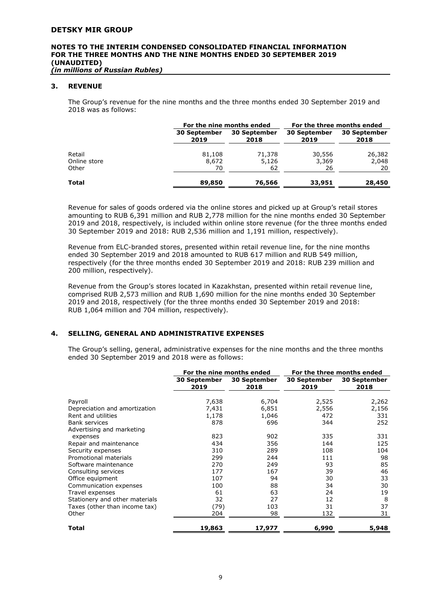*(in millions of Russian Rubles)*

#### **3. REVENUE**

The Group's revenue for the nine months and the three months ended 30 September 2019 and 2018 was as follows:

|                        |                             | For the nine months ended   |                      | For the three months ended  |
|------------------------|-----------------------------|-----------------------------|----------------------|-----------------------------|
|                        | <b>30 September</b><br>2019 | <b>30 September</b><br>2018 | 30 September<br>2019 | <b>30 September</b><br>2018 |
| Retail<br>Online store | 81,108<br>8,672             | 71,378<br>5,126             | 30,556<br>3,369      | 26,382<br>2,048             |
| Other                  | 70                          | 62                          | 26                   | 20                          |
| <b>Total</b>           | 89,850                      | 76,566                      | 33,951               | 28,450                      |

Revenue for sales of goods ordered via the online stores and picked up at Group's retail stores amounting to RUB 6,391 million and RUB 2,778 million for the nine months ended 30 September 2019 and 2018, respectively, is included within online store revenue (for the three months ended 30 September 2019 and 2018: RUB 2,536 million and 1,191 million, respectively).

Revenue from ELC-branded stores, presented within retail revenue line, for the nine months ended 30 September 2019 and 2018 amounted to RUB 617 million and RUB 549 million, respectively (for the three months ended 30 September 2019 and 2018: RUB 239 million and 200 million, respectively).

Revenue from the Group's stores located in Kazakhstan, presented within retail revenue line, comprised RUB 2,573 million and RUB 1,690 million for the nine months ended 30 September 2019 and 2018, respectively (for the three months ended 30 September 2019 and 2018: RUB 1,064 million and 704 million, respectively).

#### **4. SELLING, GENERAL AND ADMINISTRATIVE EXPENSES**

The Group's selling, general, administrative expenses for the nine months and the three months ended 30 September 2019 and 2018 were as follows:

|                                |                             | For the nine months ended |                             | For the three months ended  |
|--------------------------------|-----------------------------|---------------------------|-----------------------------|-----------------------------|
|                                | <b>30 September</b><br>2019 | 30 September<br>2018      | <b>30 September</b><br>2019 | <b>30 September</b><br>2018 |
| Payroll                        | 7,638                       | 6,704                     | 2,525                       | 2,262                       |
| Depreciation and amortization  | 7,431                       | 6,851                     | 2,556                       | 2,156                       |
| Rent and utilities             | 1,178                       | 1,046                     | 472                         | 331                         |
| <b>Bank services</b>           | 878                         | 696                       | 344                         | 252                         |
| Advertising and marketing      |                             |                           |                             |                             |
| expenses                       | 823                         | 902                       | 335                         | 331                         |
| Repair and maintenance         | 434                         | 356                       | 144                         | 125                         |
| Security expenses              | 310                         | 289                       | 108                         | 104                         |
| Promotional materials          | 299                         | 244                       | 111                         | 98                          |
| Software maintenance           | 270                         | 249                       | 93                          | 85                          |
| Consulting services            | 177                         | 167                       | 39                          | 46                          |
| Office equipment               | 107                         | 94                        | 30                          | 33                          |
| Communication expenses         | 100                         | 88                        | 34                          | 30                          |
| Travel expenses                | 61                          | 63                        | 24                          | 19                          |
| Stationery and other materials | 32                          | 27                        | 12                          | 8                           |
| Taxes (other than income tax)  | (79)                        | 103                       | 31                          | 37                          |
| Other                          | 204                         | 98                        | 132                         | 31                          |
| Total                          | 19,863                      | 17,977                    | 6,990                       | 5,948                       |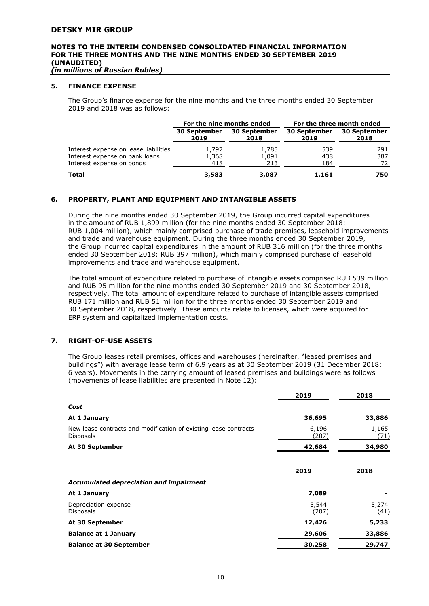*(in millions of Russian Rubles)*

#### **5. FINANCE EXPENSE**

The Group's finance expense for the nine months and the three months ended 30 September 2019 and 2018 was as follows:

|                                       |                             | For the nine months ended   | For the three month ended   |                      |
|---------------------------------------|-----------------------------|-----------------------------|-----------------------------|----------------------|
|                                       | <b>30 September</b><br>2019 | <b>30 September</b><br>2018 | <b>30 September</b><br>2019 | 30 September<br>2018 |
| Interest expense on lease liabilities | 1.797                       | 1,783                       | 539                         | 291                  |
| Interest expense on bank loans        | 1,368                       | 1,091                       | 438                         | 387                  |
| Interest expense on bonds             | 418                         | 213                         | 184                         | 72                   |
| <b>Total</b>                          | 3,583                       | 3,087                       | 1,161                       | 750                  |

# **6. PROPERTY, PLANT AND EQUIPMENT AND INTANGIBLE ASSETS**

During the nine months ended 30 September 2019, the Group incurred capital expenditures in the amount of RUB 1,899 million (for the nine months ended 30 September 2018: RUB 1,004 million), which mainly comprised purchase of trade premises, leasehold improvements and trade and warehouse equipment. During the three months ended 30 September 2019, the Group incurred capital expenditures in the amount of RUB 316 million (for the three months ended 30 September 2018: RUB 397 million), which mainly comprised purchase of leasehold improvements and trade and warehouse equipment.

The total amount of expenditure related to purchase of intangible assets comprised RUB 539 million and RUB 95 million for the nine months ended 30 September 2019 and 30 September 2018, respectively. The total amount of expenditure related to purchase of intangible assets comprised RUB 171 million and RUB 51 million for the three months ended 30 September 2019 and 30 September 2018, respectively. These amounts relate to licenses, which were acquired for ERP system and capitalized implementation costs.

#### **7. RIGHT-OF-USE ASSETS**

The Group leases retail premises, offices and warehouses (hereinafter, "leased premises and buildings") with average lease term of 6.9 years as at 30 September 2019 (31 December 2018: 6 years). Movements in the carrying amount of leased premises and buildings were as follows (movements of lease liabilities are presented in Note 12):

|                                                                                      | 2019           | 2018          |
|--------------------------------------------------------------------------------------|----------------|---------------|
| Cost                                                                                 |                |               |
| At 1 January                                                                         | 36,695         | 33,886        |
| New lease contracts and modification of existing lease contracts<br><b>Disposals</b> | 6,196<br>(207) | 1,165<br>(71) |
| At 30 September                                                                      | 42,684         | 34,980        |
|                                                                                      |                |               |
|                                                                                      | 2019           | 2018          |
| <b>Accumulated depreciation and impairment</b>                                       |                |               |
| At 1 January                                                                         | 7,089          |               |
| Depreciation expense<br><b>Disposals</b>                                             | 5,544<br>(207) | 5,274<br>(41) |
| At 30 September                                                                      | 12,426         | 5,233         |
| <b>Balance at 1 January</b>                                                          | 29,606         | 33,886        |
| <b>Balance at 30 September</b>                                                       | 30,258         | 29,747        |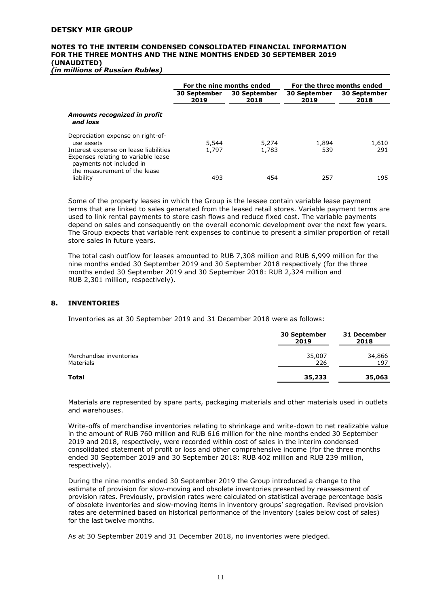*(in millions of Russian Rubles)*

|                                                                                                                                                                                             |                             | For the nine months ended   |                      | For the three months ended  |
|---------------------------------------------------------------------------------------------------------------------------------------------------------------------------------------------|-----------------------------|-----------------------------|----------------------|-----------------------------|
|                                                                                                                                                                                             | <b>30 September</b><br>2019 | <b>30 September</b><br>2018 | 30 September<br>2019 | <b>30 September</b><br>2018 |
| Amounts recognized in profit<br>and loss                                                                                                                                                    |                             |                             |                      |                             |
| Depreciation expense on right-of-<br>use assets<br>Interest expense on lease liabilities<br>Expenses relating to variable lease<br>payments not included in<br>the measurement of the lease | 5,544<br>1.797              | 5,274<br>1,783              | 1,894<br>539         | 1,610<br>291                |
| liability                                                                                                                                                                                   | 493                         | 454                         | 257                  | 195                         |

Some of the property leases in which the Group is the lessee contain variable lease payment terms that are linked to sales generated from the leased retail stores. Variable payment terms are used to link rental payments to store cash flows and reduce fixed cost. The variable payments depend on sales and consequently on the overall economic development over the next few years. The Group expects that variable rent expenses to continue to present a similar proportion of retail store sales in future years.

The total cash outflow for leases amounted to RUB 7,308 million and RUB 6,999 million for the nine months ended 30 September 2019 and 30 September 2018 respectively (for the three months ended 30 September 2019 and 30 September 2018: RUB 2,324 million and RUB 2,301 million, respectively).

# **8. INVENTORIES**

Inventories as at 30 September 2019 and 31 December 2018 were as follows:

|                                             | 30 September<br>2019 | 31 December<br>2018 |
|---------------------------------------------|----------------------|---------------------|
| Merchandise inventories<br><b>Materials</b> | 35,007<br>226        | 34,866<br>197       |
| <b>Total</b>                                | 35,233               | 35,063              |

Materials are represented by spare parts, packaging materials and other materials used in outlets and warehouses.

Write-offs of merchandise inventories relating to shrinkage and write-down to net realizable value in the amount of RUB 760 million and RUB 616 million for the nine months ended 30 September 2019 and 2018, respectively, were recorded within cost of sales in the interim condensed consolidated statement of profit or loss and other comprehensive income (for the three months ended 30 September 2019 and 30 September 2018: RUB 402 million and RUB 239 million, respectively).

During the nine months ended 30 September 2019 the Group introduced a change to the estimate of provision for slow-moving and obsolete inventories presented by reassessment of provision rates. Previously, provision rates were calculated on statistical average percentage basis of obsolete inventories and slow-moving items in inventory groups' segregation. Revised provision rates are determined based on historical performance of the inventory (sales below cost of sales) for the last twelve months.

As at 30 September 2019 and 31 December 2018, no inventories were pledged.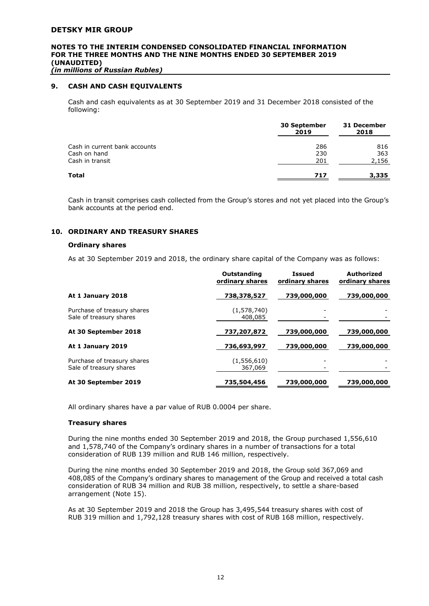# **NOTES TO THE INTERIM CONDENSED CONSOLIDATED FINANCIAL INFORMATION FOR THE THREE MONTHS AND THE NINE MONTHS ENDED 30 SEPTEMBER 2019 (UNAUDITED)**

*(in millions of Russian Rubles)*

# **9. CASH AND CASH EQUIVALENTS**

Cash and cash equivalents as at 30 September 2019 and 31 December 2018 consisted of the following:

|                               | <b>30 September</b><br>2019 | 31 December<br>2018 |
|-------------------------------|-----------------------------|---------------------|
| Cash in current bank accounts | 286                         | 816                 |
| Cash on hand                  | 230                         | 363                 |
| Cash in transit               | 201                         | 2,156               |
| <b>Total</b>                  | 717                         | 3,335               |

Cash in transit comprises cash collected from the Group's stores and not yet placed into the Group's bank accounts at the period end.

#### **10. ORDINARY AND TREASURY SHARES**

#### **Ordinary shares**

As at 30 September 2019 and 2018, the ordinary share capital of the Company was as follows:

|                                                        | Outstanding<br>ordinary shares | <b>Issued</b><br>ordinary shares | <b>Authorized</b><br>ordinary shares |
|--------------------------------------------------------|--------------------------------|----------------------------------|--------------------------------------|
| At 1 January 2018                                      | 738,378,527                    | 739,000,000                      | 739,000,000                          |
| Purchase of treasury shares<br>Sale of treasury shares | (1,578,740)<br>408,085         |                                  |                                      |
| At 30 September 2018                                   | 737,207,872                    | 739,000,000                      | 739,000,000                          |
| At 1 January 2019                                      | 736,693,997                    | 739,000,000                      | 739,000,000                          |
| Purchase of treasury shares<br>Sale of treasury shares | (1,556,610)<br>367,069         |                                  |                                      |
| At 30 September 2019                                   | 735,504,456                    | 739,000,000                      | 739,000,000                          |

All ordinary shares have a par value of RUB 0.0004 per share.

#### **Treasury shares**

During the nine months ended 30 September 2019 and 2018, the Group purchased 1,556,610 and 1,578,740 of the Company's ordinary shares in a number of transactions for a total consideration of RUB 139 million and RUB 146 million, respectively.

During the nine months ended 30 September 2019 and 2018, the Group sold 367,069 and 408,085 of the Company's ordinary shares to management of the Group and received a total cash consideration of RUB 34 million and RUB 38 million, respectively, to settle a share-based arrangement (Note 15).

As at 30 September 2019 and 2018 the Group has 3,495,544 treasury shares with cost of RUB 319 million and 1,792,128 treasury shares with cost of RUB 168 million, respectively.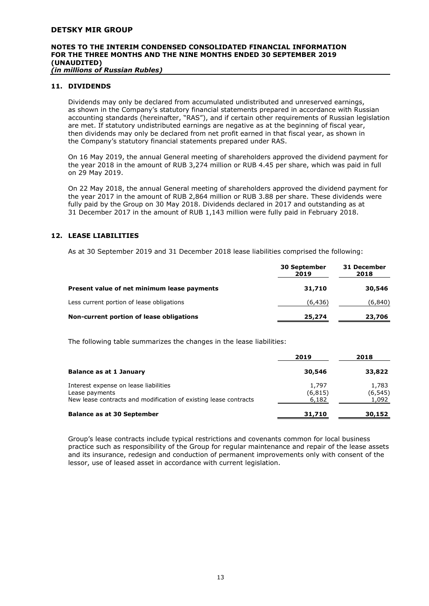*(in millions of Russian Rubles)*

# **11. DIVIDENDS**

Dividends may only be declared from accumulated undistributed and unreserved earnings, as shown in the Company's statutory financial statements prepared in accordance with Russian accounting standards (hereinafter, "RAS"), and if certain other requirements of Russian legislation are met. If statutory undistributed earnings are negative as at the beginning of fiscal year, then dividends may only be declared from net profit earned in that fiscal year, as shown in the Company's statutory financial statements prepared under RAS.

On 16 May 2019, the annual General meeting of shareholders approved the dividend payment for the year 2018 in the amount of RUB 3,274 million or RUB 4.45 per share, which was paid in full on 29 May 2019.

On 22 May 2018, the annual General meeting of shareholders approved the dividend payment for the year 2017 in the amount of RUB 2,864 million or RUB 3.88 per share. These dividends were fully paid by the Group on 30 May 2018. Dividends declared in 2017 and outstanding as at 31 December 2017 in the amount of RUB 1,143 million were fully paid in February 2018.

# **12. LEASE LIABILITIES**

As at 30 September 2019 and 31 December 2018 lease liabilities comprised the following:

|                                             | <b>30 September</b><br>2019 | 31 December<br>2018 |  |
|---------------------------------------------|-----------------------------|---------------------|--|
| Present value of net minimum lease payments | 31,710                      | 30,546              |  |
| Less current portion of lease obligations   | (6,436)                     | (6,840)             |  |
| Non-current portion of lease obligations    | 25,274                      | 23,706              |  |

The following table summarizes the changes in the lease liabilities:

|                                                                                                                             | 2019                       | 2018                       |
|-----------------------------------------------------------------------------------------------------------------------------|----------------------------|----------------------------|
| <b>Balance as at 1 January</b>                                                                                              | 30,546                     | 33,822                     |
| Interest expense on lease liabilities<br>Lease payments<br>New lease contracts and modification of existing lease contracts | 1,797<br>(6, 815)<br>6,182 | 1,783<br>(6, 545)<br>1,092 |
| <b>Balance as at 30 September</b>                                                                                           | 31,710                     | 30,152                     |

Group's lease contracts include typical restrictions and covenants common for local business practice such as responsibility of the Group for regular maintenance and repair of the lease assets and its insurance, redesign and conduction of permanent improvements only with consent of the lessor, use of leased asset in accordance with current legislation.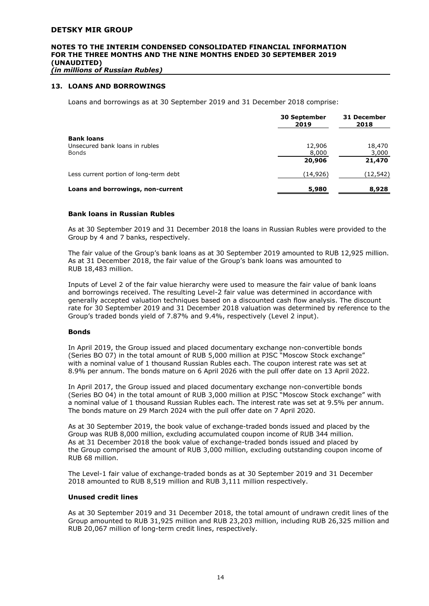# **NOTES TO THE INTERIM CONDENSED CONSOLIDATED FINANCIAL INFORMATION FOR THE THREE MONTHS AND THE NINE MONTHS ENDED 30 SEPTEMBER 2019 (UNAUDITED)**

*(in millions of Russian Rubles)*

#### **13. LOANS AND BORROWINGS**

Loans and borrowings as at 30 September 2019 and 31 December 2018 comprise:

|                                                                     | <b>30 September</b><br>2019 | 31 December<br>2018       |  |
|---------------------------------------------------------------------|-----------------------------|---------------------------|--|
| <b>Bank loans</b><br>Unsecured bank loans in rubles<br><b>Bonds</b> | 12,906<br>8,000<br>20,906   | 18,470<br>3,000<br>21,470 |  |
| Less current portion of long-term debt                              | (14,926)                    | (12, 542)                 |  |
| Loans and borrowings, non-current                                   | 5,980                       | 8,928                     |  |

#### **Bank loans in Russian Rubles**

As at 30 September 2019 and 31 December 2018 the loans in Russian Rubles were provided to the Group by 4 and 7 banks, respectively.

The fair value of the Group's bank loans as at 30 September 2019 amounted to RUB 12,925 million. As at 31 December 2018, the fair value of the Group's bank loans was amounted to RUB 18,483 million.

Inputs of Level 2 of the fair value hierarchy were used to measure the fair value of bank loans and borrowings received. The resulting Level-2 fair value was determined in accordance with generally accepted valuation techniques based on a discounted cash flow analysis. The discount rate for 30 September 2019 and 31 December 2018 valuation was determined by reference to the Group's traded bonds yield of 7.87% and 9.4%, respectively (Level 2 input).

#### **Bonds**

In April 2019, the Group issued and placed documentary exchange non-convertible bonds (Series BO 07) in the total amount of RUB 5,000 million at PJSC "Moscow Stock exchange" with a nominal value of 1 thousand Russian Rubles each. The coupon interest rate was set at 8.9% per annum. The bonds mature on 6 April 2026 with the pull offer date on 13 April 2022.

In April 2017, the Group issued and placed documentary exchange non-convertible bonds (Series BO 04) in the total amount of RUB 3,000 million at PJSC "Moscow Stock exchange" with a nominal value of 1 thousand Russian Rubles each. The interest rate was set at 9.5% per annum. The bonds mature on 29 March 2024 with the pull offer date on 7 April 2020.

As at 30 September 2019, the book value of exchange-traded bonds issued and placed by the Group was RUB 8,000 million, excluding accumulated coupon income of RUB 344 million. As at 31 December 2018 the book value of exchange-traded bonds issued and placed by the Group comprised the amount of RUB 3,000 million, excluding outstanding coupon income of RUB 68 million.

The Level-1 fair value of exchange-traded bonds as at 30 September 2019 and 31 December 2018 amounted to RUB 8,519 million and RUB 3,111 million respectively.

#### **Unused credit lines**

As at 30 September 2019 and 31 December 2018, the total amount of undrawn credit lines of the Group amounted to RUB 31,925 million and RUB 23,203 million, including RUB 26,325 million and RUB 20,067 million of long-term credit lines, respectively.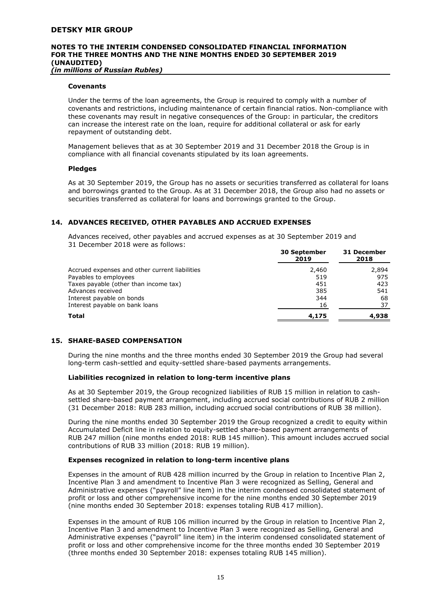*(in millions of Russian Rubles)*

#### **Covenants**

Under the terms of the loan agreements, the Group is required to comply with a number of covenants and restrictions, including maintenance of certain financial ratios. Non-compliance with these covenants may result in negative consequences of the Group: in particular, the creditors can increase the interest rate on the loan, require for additional collateral or ask for early repayment of outstanding debt.

Management believes that as at 30 September 2019 and 31 December 2018 the Group is in compliance with all financial covenants stipulated by its loan agreements.

#### **Pledges**

As at 30 September 2019, the Group has no assets or securities transferred as collateral for loans and borrowings granted to the Group. As at 31 December 2018, the Group also had no assets or securities transferred as collateral for loans and borrowings granted to the Group.

#### **14. ADVANCES RECEIVED, OTHER PAYABLES AND ACCRUED EXPENSES**

Advances received, other payables and accrued expenses as at 30 September 2019 and 31 December 2018 were as follows:

|                                                | <b>30 September</b><br>2019 | <b>31 December</b><br>2018 |  |
|------------------------------------------------|-----------------------------|----------------------------|--|
| Accrued expenses and other current liabilities | 2,460                       | 2,894                      |  |
| Payables to employees                          | 519                         | 975                        |  |
| Taxes payable (other than income tax)          | 451                         | 423                        |  |
| Advances received                              | 385                         | 541                        |  |
| Interest payable on bonds                      | 344                         | 68                         |  |
| Interest payable on bank loans                 | 16                          | 37                         |  |
| <b>Total</b>                                   | 4,175                       | 4,938                      |  |

#### **15. SHARE-BASED COMPENSATION**

During the nine months and the three months ended 30 September 2019 the Group had several long-term cash-settled and equity-settled share-based payments arrangements.

#### **Liabilities recognized in relation to long-term incentive plans**

As at 30 September 2019, the Group recognized liabilities of RUB 15 million in relation to cashsettled share-based payment arrangement, including accrued social contributions of RUB 2 million (31 December 2018: RUB 283 million, including accrued social contributions of RUB 38 million).

During the nine months ended 30 September 2019 the Group recognized a credit to equity within Accumulated Deficit line in relation to equity-settled share-based payment arrangements of RUB 247 million (nine months ended 2018: RUB 145 million). This amount includes accrued social contributions of RUB 33 million (2018: RUB 19 million).

#### **Expenses recognized in relation to long-term incentive plans**

Expenses in the amount of RUB 428 million incurred by the Group in relation to Incentive Plan 2, Incentive Plan 3 and amendment to Incentive Plan 3 were recognized as Selling, General and Administrative expenses ("payroll" line item) in the interim condensed consolidated statement of profit or loss and other comprehensive income for the nine months ended 30 September 2019 (nine months ended 30 September 2018: expenses totaling RUB 417 million).

Expenses in the amount of RUB 106 million incurred by the Group in relation to Incentive Plan 2, Incentive Plan 3 and amendment to Incentive Plan 3 were recognized as Selling, General and Administrative expenses ("payroll" line item) in the interim condensed consolidated statement of profit or loss and other comprehensive income for the three months ended 30 September 2019 (three months ended 30 September 2018: expenses totaling RUB 145 million).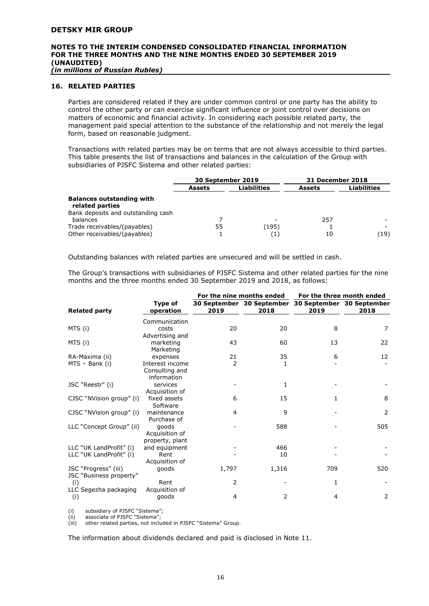*(in millions of Russian Rubles)*

#### **16. RELATED PARTIES**

Parties are considered related if they are under common control or one party has the ability to control the other party or can exercise significant influence or joint control over decisions on matters of economic and financial activity. In considering each possible related party, the management paid special attention to the substance of the relationship and not merely the legal form, based on reasonable judgment.

Transactions with related parties may be on terms that are not always accessible to third parties. This table presents the list of transactions and balances in the calculation of the Group with subsidiaries of PJSFC Sistema and other related parties:

|                                                              | 30 September 2019 |              | <b>31 December 2018</b> |                    |
|--------------------------------------------------------------|-------------------|--------------|-------------------------|--------------------|
|                                                              | <b>Assets</b>     | Liabilities  | <b>Assets</b>           | <b>Liabilities</b> |
| <b>Balances outstanding with</b><br>related parties          |                   |              |                         |                    |
| Bank deposits and outstanding cash<br>balances               |                   |              | 257                     |                    |
| Trade receivables/(payables)<br>Other receivables/(payables) | 55                | (195)<br>(1) | 10                      | (19)               |

Outstanding balances with related parties are unsecured and will be settled in cash.

The Group's transactions with subsidiaries of PJSFC Sistema and other related parties for the nine months and the three months ended 30 September 2019 and 2018, as follows:

|                          |                       | For the nine months ended |                                                             | For the three month ended |      |
|--------------------------|-----------------------|---------------------------|-------------------------------------------------------------|---------------------------|------|
| <b>Related party</b>     | Type of<br>operation  | 2019                      | 30 September 30 September 30 September 30 September<br>2018 | 2019                      | 2018 |
|                          | Communication         |                           |                                                             |                           |      |
| MTS (i)                  | costs                 | 20                        | 20                                                          | 8                         | 7    |
|                          | Advertising and       |                           |                                                             |                           |      |
| MTS (i)                  | marketing             | 43                        | 60                                                          | 13                        | 22   |
|                          | Marketing             |                           |                                                             |                           |      |
| RA-Maxima (ii)           | expenses              | 21                        | 35                                                          | 6                         | 12   |
| MTS - Bank (i)           | Interest income       | 2                         | 1                                                           |                           |      |
|                          | Consulting and        |                           |                                                             |                           |      |
|                          | information           |                           |                                                             |                           |      |
| JSC "Reestr" (i)         | services              |                           | 1                                                           |                           |      |
|                          | Acquisition of        |                           |                                                             |                           |      |
| CJSC "NVision group" (i) | fixed assets          | 6                         | 15                                                          | 1                         | 8    |
|                          | Software              |                           |                                                             |                           |      |
| CJSC "NVision group" (i) | maintenance           | 4                         | 9                                                           |                           | 2    |
|                          | Purchase of           |                           |                                                             |                           |      |
| LLC "Concept Group" (ii) | goods                 |                           | 588                                                         |                           | 505  |
|                          | Acquisition of        |                           |                                                             |                           |      |
| LLC "UK LandProfit" (i)  | property, plant       |                           | 466                                                         |                           |      |
| LLC "UK LandProfit" (i)  | and equipment<br>Rent |                           | 10                                                          |                           |      |
|                          | Acquisition of        |                           |                                                             |                           |      |
| JSC "Progress" (iii)     | goods                 | 1,797                     | 1,316                                                       | 709                       | 520  |
| JSC "Business property"  |                       |                           |                                                             |                           |      |
| (i)                      | Rent                  | 2                         |                                                             | 1                         |      |
| LLC Segezha packaging    | Acquisition of        |                           |                                                             |                           |      |
| (i)                      | goods                 | 4                         | 2                                                           | 4                         | 2    |
|                          |                       |                           |                                                             |                           |      |

(i) subsidiary of PJSFC "Sistema";

(ii) associate of PJSFC "Sistema";<br>(iii) other related parties, not inclu

other related parties, not included in PJSFC "Sistema" Group.

The information about dividends declared and paid is disclosed in Note 11.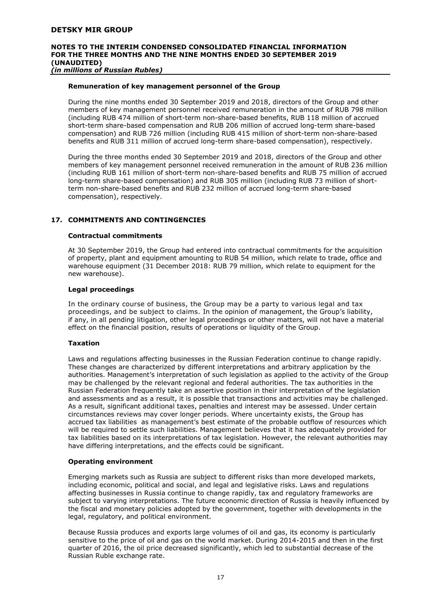#### **Remuneration of key management personnel of the Group**

During the nine months ended 30 September 2019 and 2018, directors of the Group and other members of key management personnel received remuneration in the amount of RUB 798 million (including RUB 474 million of short-term non-share-based benefits, RUB 118 million of accrued short-term share-based compensation and RUB 206 million of accrued long-term share-based compensation) and RUB 726 million (including RUB 415 million of short-term non-share-based benefits and RUB 311 million of accrued long-term share-based compensation), respectively.

During the three months ended 30 September 2019 and 2018, directors of the Group and other members of key management personnel received remuneration in the amount of RUB 236 million (including RUB 161 million of short-term non-share-based benefits and RUB 75 million of accrued long-term share-based compensation) and RUB 305 million (including RUB 73 million of shortterm non-share-based benefits and RUB 232 million of accrued long-term share-based compensation), respectively.

# **17. COMMITMENTS AND CONTINGENCIES**

#### **Contractual commitments**

At 30 September 2019, the Group had entered into contractual commitments for the acquisition of property, plant and equipment amounting to RUB 54 million, which relate to trade, office and warehouse equipment (31 December 2018: RUB 79 million, which relate to equipment for the new warehouse).

#### **Legal proceedings**

In the ordinary course of business, the Group may be a party to various legal and tax proceedings, and be subject to claims. In the opinion of management, the Group's liability, if any, in all pending litigation, other legal proceedings or other matters, will not have a material effect on the financial position, results of operations or liquidity of the Group.

#### **Taxation**

Laws and regulations affecting businesses in the Russian Federation continue to change rapidly. These changes are characterized by different interpretations and arbitrary application by the authorities. Management's interpretation of such legislation as applied to the activity of the Group may be challenged by the relevant regional and federal authorities. The tax authorities in the Russian Federation frequently take an assertive position in their interpretation of the legislation and assessments and as a result, it is possible that transactions and activities may be challenged. As a result, significant additional taxes, penalties and interest may be assessed. Under certain circumstances reviews may cover longer periods. Where uncertainty exists, the Group has accrued tax liabilities as management's best estimate of the probable outflow of resources which will be required to settle such liabilities. Management believes that it has adequately provided for tax liabilities based on its interpretations of tax legislation. However, the relevant authorities may have differing interpretations, and the effects could be significant.

#### **Operating environment**

Emerging markets such as Russia are subject to different risks than more developed markets, including economic, political and social, and legal and legislative risks. Laws and regulations affecting businesses in Russia continue to change rapidly, tax and regulatory frameworks are subject to varying interpretations. The future economic direction of Russia is heavily influenced by the fiscal and monetary policies adopted by the government, together with developments in the legal, regulatory, and political environment.

Because Russia produces and exports large volumes of oil and gas, its economy is particularly sensitive to the price of oil and gas on the world market. During 2014-2015 and then in the first quarter of 2016, the oil price decreased significantly, which led to substantial decrease of the Russian Ruble exchange rate.